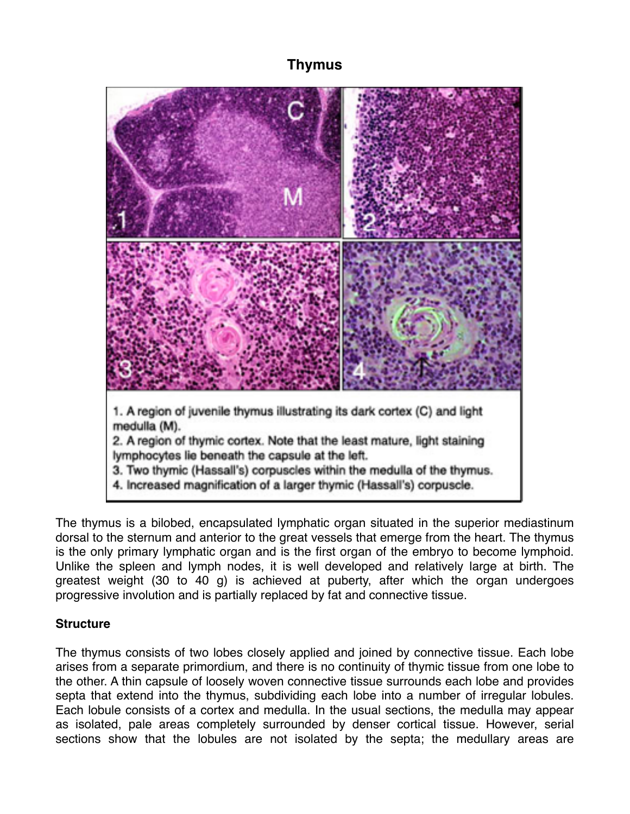# **Thymus**



The thymus is a bilobed, encapsulated lymphatic organ situated in the superior mediastinum dorsal to the sternum and anterior to the great vessels that emerge from the heart. The thymus is the only primary lymphatic organ and is the first organ of the embryo to become lymphoid. Unlike the spleen and lymph nodes, it is well developed and relatively large at birth. The greatest weight (30 to 40 g) is achieved at puberty, after which the organ undergoes progressive involution and is partially replaced by fat and connective tissue.

#### **Structure**

The thymus consists of two lobes closely applied and joined by connective tissue. Each lobe arises from a separate primordium, and there is no continuity of thymic tissue from one lobe to the other. A thin capsule of loosely woven connective tissue surrounds each lobe and provides septa that extend into the thymus, subdividing each lobe into a number of irregular lobules. Each lobule consists of a cortex and medulla. In the usual sections, the medulla may appear as isolated, pale areas completely surrounded by denser cortical tissue. However, serial sections show that the lobules are not isolated by the septa; the medullary areas are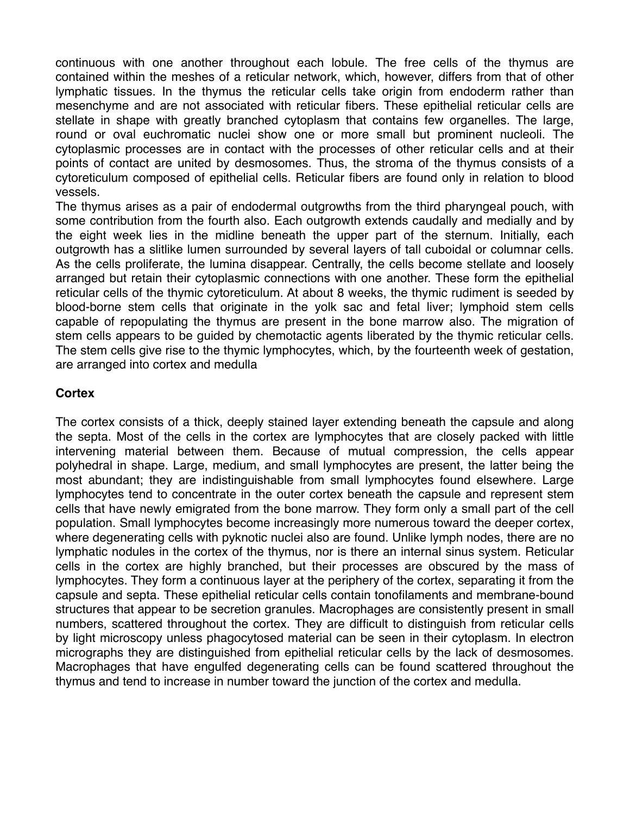continuous with one another throughout each lobule. The free cells of the thymus are contained within the meshes of a reticular network, which, however, differs from that of other lymphatic tissues. In the thymus the reticular cells take origin from endoderm rather than mesenchyme and are not associated with reticular fibers. These epithelial reticular cells are stellate in shape with greatly branched cytoplasm that contains few organelles. The large, round or oval euchromatic nuclei show one or more small but prominent nucleoli. The cytoplasmic processes are in contact with the processes of other reticular cells and at their points of contact are united by desmosomes. Thus, the stroma of the thymus consists of a cytoreticulum composed of epithelial cells. Reticular fibers are found only in relation to blood vessels.

The thymus arises as a pair of endodermal outgrowths from the third pharyngeal pouch, with some contribution from the fourth also. Each outgrowth extends caudally and medially and by the eight week lies in the midline beneath the upper part of the sternum. Initially, each outgrowth has a slitlike lumen surrounded by several layers of tall cuboidal or columnar cells. As the cells proliferate, the lumina disappear. Centrally, the cells become stellate and loosely arranged but retain their cytoplasmic connections with one another. These form the epithelial reticular cells of the thymic cytoreticulum. At about 8 weeks, the thymic rudiment is seeded by blood-borne stem cells that originate in the yolk sac and fetal liver; lymphoid stem cells capable of repopulating the thymus are present in the bone marrow also. The migration of stem cells appears to be guided by chemotactic agents liberated by the thymic reticular cells. The stem cells give rise to the thymic lymphocytes, which, by the fourteenth week of gestation, are arranged into cortex and medulla

### **Cortex**

The cortex consists of a thick, deeply stained layer extending beneath the capsule and along the septa. Most of the cells in the cortex are lymphocytes that are closely packed with little intervening material between them. Because of mutual compression, the cells appear polyhedral in shape. Large, medium, and small lymphocytes are present, the latter being the most abundant; they are indistinguishable from small lymphocytes found elsewhere. Large lymphocytes tend to concentrate in the outer cortex beneath the capsule and represent stem cells that have newly emigrated from the bone marrow. They form only a small part of the cell population. Small lymphocytes become increasingly more numerous toward the deeper cortex, where degenerating cells with pyknotic nuclei also are found. Unlike lymph nodes, there are no lymphatic nodules in the cortex of the thymus, nor is there an internal sinus system. Reticular cells in the cortex are highly branched, but their processes are obscured by the mass of lymphocytes. They form a continuous layer at the periphery of the cortex, separating it from the capsule and septa. These epithelial reticular cells contain tonofilaments and membrane-bound structures that appear to be secretion granules. Macrophages are consistently present in small numbers, scattered throughout the cortex. They are difficult to distinguish from reticular cells by light microscopy unless phagocytosed material can be seen in their cytoplasm. In electron micrographs they are distinguished from epithelial reticular cells by the lack of desmosomes. Macrophages that have engulfed degenerating cells can be found scattered throughout the thymus and tend to increase in number toward the junction of the cortex and medulla.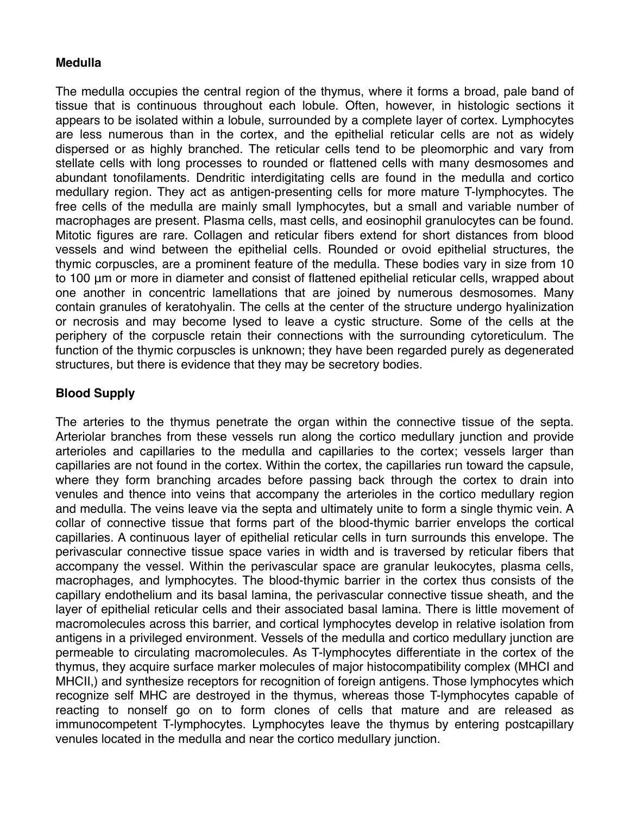### **Medulla**

The medulla occupies the central region of the thymus, where it forms a broad, pale band of tissue that is continuous throughout each lobule. Often, however, in histologic sections it appears to be isolated within a lobule, surrounded by a complete layer of cortex. Lymphocytes are less numerous than in the cortex, and the epithelial reticular cells are not as widely dispersed or as highly branched. The reticular cells tend to be pleomorphic and vary from stellate cells with long processes to rounded or flattened cells with many desmosomes and abundant tonofilaments. Dendritic interdigitating cells are found in the medulla and cortico medullary region. They act as antigen-presenting cells for more mature T-lymphocytes. The free cells of the medulla are mainly small lymphocytes, but a small and variable number of macrophages are present. Plasma cells, mast cells, and eosinophil granulocytes can be found. Mitotic figures are rare. Collagen and reticular fibers extend for short distances from blood vessels and wind between the epithelial cells. Rounded or ovoid epithelial structures, the thymic corpuscles, are a prominent feature of the medulla. These bodies vary in size from 10 to 100 μm or more in diameter and consist of flattened epithelial reticular cells, wrapped about one another in concentric lamellations that are joined by numerous desmosomes. Many contain granules of keratohyalin. The cells at the center of the structure undergo hyalinization or necrosis and may become lysed to leave a cystic structure. Some of the cells at the periphery of the corpuscle retain their connections with the surrounding cytoreticulum. The function of the thymic corpuscles is unknown; they have been regarded purely as degenerated structures, but there is evidence that they may be secretory bodies.

## **Blood Supply**

The arteries to the thymus penetrate the organ within the connective tissue of the septa. Arteriolar branches from these vessels run along the cortico medullary junction and provide arterioles and capillaries to the medulla and capillaries to the cortex; vessels larger than capillaries are not found in the cortex. Within the cortex, the capillaries run toward the capsule, where they form branching arcades before passing back through the cortex to drain into venules and thence into veins that accompany the arterioles in the cortico medullary region and medulla. The veins leave via the septa and ultimately unite to form a single thymic vein. A collar of connective tissue that forms part of the blood-thymic barrier envelops the cortical capillaries. A continuous layer of epithelial reticular cells in turn surrounds this envelope. The perivascular connective tissue space varies in width and is traversed by reticular fibers that accompany the vessel. Within the perivascular space are granular leukocytes, plasma cells, macrophages, and lymphocytes. The blood-thymic barrier in the cortex thus consists of the capillary endothelium and its basal lamina, the perivascular connective tissue sheath, and the layer of epithelial reticular cells and their associated basal lamina. There is little movement of macromolecules across this barrier, and cortical lymphocytes develop in relative isolation from antigens in a privileged environment. Vessels of the medulla and cortico medullary junction are permeable to circulating macromolecules. As T-lymphocytes differentiate in the cortex of the thymus, they acquire surface marker molecules of major histocompatibility complex (MHCI and MHCII,) and synthesize receptors for recognition of foreign antigens. Those lymphocytes which recognize self MHC are destroyed in the thymus, whereas those T-lymphocytes capable of reacting to nonself go on to form clones of cells that mature and are released as immunocompetent T-lymphocytes. Lymphocytes leave the thymus by entering postcapillary venules located in the medulla and near the cortico medullary junction.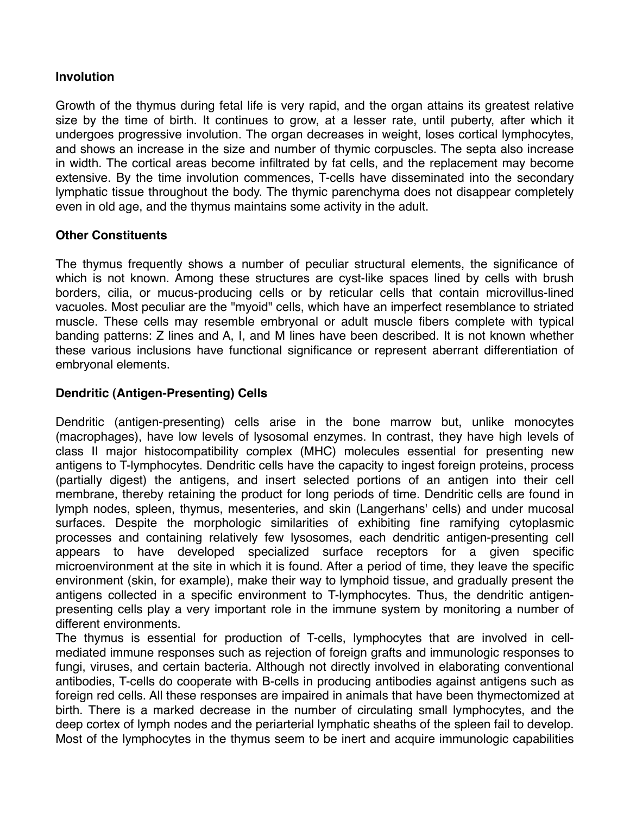### **Involution**

Growth of the thymus during fetal life is very rapid, and the organ attains its greatest relative size by the time of birth. It continues to grow, at a lesser rate, until puberty, after which it undergoes progressive involution. The organ decreases in weight, loses cortical lymphocytes, and shows an increase in the size and number of thymic corpuscles. The septa also increase in width. The cortical areas become infiltrated by fat cells, and the replacement may become extensive. By the time involution commences, T-cells have disseminated into the secondary lymphatic tissue throughout the body. The thymic parenchyma does not disappear completely even in old age, and the thymus maintains some activity in the adult.

### **Other Constituents**

The thymus frequently shows a number of peculiar structural elements, the significance of which is not known. Among these structures are cyst-like spaces lined by cells with brush borders, cilia, or mucus-producing cells or by reticular cells that contain microvillus-lined vacuoles. Most peculiar are the "myoid" cells, which have an imperfect resemblance to striated muscle. These cells may resemble embryonal or adult muscle fibers complete with typical banding patterns: Z lines and A, I, and M lines have been described. It is not known whether these various inclusions have functional significance or represent aberrant differentiation of embryonal elements.

### **Dendritic (Antigen-Presenting) Cells**

Dendritic (antigen-presenting) cells arise in the bone marrow but, unlike monocytes (macrophages), have low levels of lysosomal enzymes. In contrast, they have high levels of class II major histocompatibility complex (MHC) molecules essential for presenting new antigens to T-lymphocytes. Dendritic cells have the capacity to ingest foreign proteins, process (partially digest) the antigens, and insert selected portions of an antigen into their cell membrane, thereby retaining the product for long periods of time. Dendritic cells are found in lymph nodes, spleen, thymus, mesenteries, and skin (Langerhans' cells) and under mucosal surfaces. Despite the morphologic similarities of exhibiting fine ramifying cytoplasmic processes and containing relatively few lysosomes, each dendritic antigen-presenting cell appears to have developed specialized surface receptors for a given specific microenvironment at the site in which it is found. After a period of time, they leave the specific environment (skin, for example), make their way to lymphoid tissue, and gradually present the antigens collected in a specific environment to T-lymphocytes. Thus, the dendritic antigenpresenting cells play a very important role in the immune system by monitoring a number of different environments.

The thymus is essential for production of T-cells, lymphocytes that are involved in cellmediated immune responses such as rejection of foreign grafts and immunologic responses to fungi, viruses, and certain bacteria. Although not directly involved in elaborating conventional antibodies, T-cells do cooperate with B-cells in producing antibodies against antigens such as foreign red cells. All these responses are impaired in animals that have been thymectomized at birth. There is a marked decrease in the number of circulating small lymphocytes, and the deep cortex of lymph nodes and the periarterial lymphatic sheaths of the spleen fail to develop. Most of the lymphocytes in the thymus seem to be inert and acquire immunologic capabilities